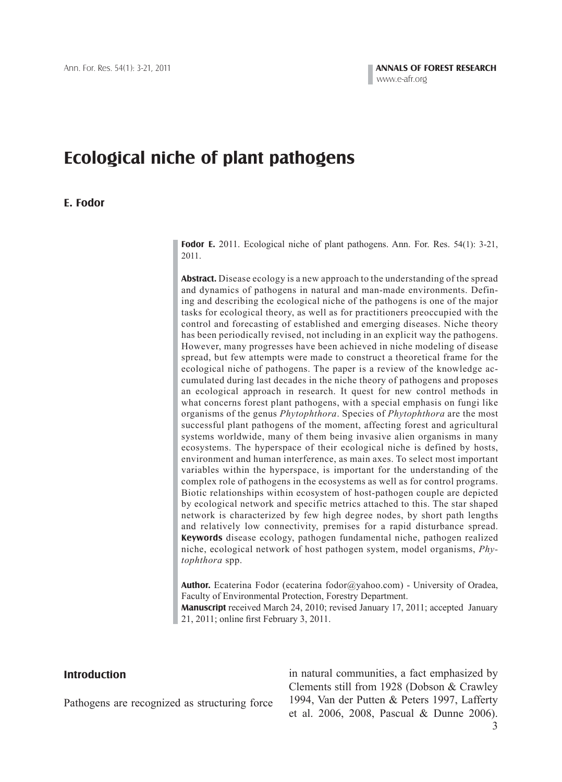# **Ecological niche of plant pathogens**

#### **E. Fodor**

**Fodor E.** 2011. Ecological niche of plant pathogens. Ann. For. Res. 54(1): 3-21, 2011.

**Abstract.** Disease ecology is a new approach to the understanding of the spread and dynamics of pathogens in natural and man-made environments. Defining and describing the ecological niche of the pathogens is one of the major tasks for ecological theory, as well as for practitioners preoccupied with the control and forecasting of established and emerging diseases. Niche theory has been periodically revised, not including in an explicit way the pathogens. However, many progresses have been achieved in niche modeling of disease spread, but few attempts were made to construct a theoretical frame for the ecological niche of pathogens. The paper is a review of the knowledge accumulated during last decades in the niche theory of pathogens and proposes an ecological approach in research. It quest for new control methods in what concerns forest plant pathogens, with a special emphasis on fungi like organisms of the genus *Phytophthora*. Species of *Phytophthora* are the most successful plant pathogens of the moment, affecting forest and agricultural systems worldwide, many of them being invasive alien organisms in many ecosystems. The hyperspace of their ecological niche is defined by hosts, environment and human interference, as main axes. To select most important variables within the hyperspace, is important for the understanding of the complex role of pathogens in the ecosystems as well as for control programs. Biotic relationships within ecosystem of host-pathogen couple are depicted by ecological network and specific metrics attached to this. The star shaped network is characterized by few high degree nodes, by short path lengths and relatively low connectivity, premises for a rapid disturbance spread. **Keywords** disease ecology, pathogen fundamental niche, pathogen realized niche, ecological network of host pathogen system, model organisms, *Phytophthora* spp.

**Author.** Ecaterina Fodor (ecaterina fodor@yahoo.com) - University of Oradea, Faculty of Environmental Protection, Forestry Department. **Manuscript** received March 24, 2010; revised January 17, 2011; accepted January

21, 2011; online first February 3, 2011.

## **Introduction**

Pathogens are recognized as structuring force

in natural communities, a fact emphasized by Clements still from 1928 (Dobson & Crawley 1994, Van der Putten & Peters 1997, Lafferty et al. 2006, 2008, Pascual & Dunne 2006).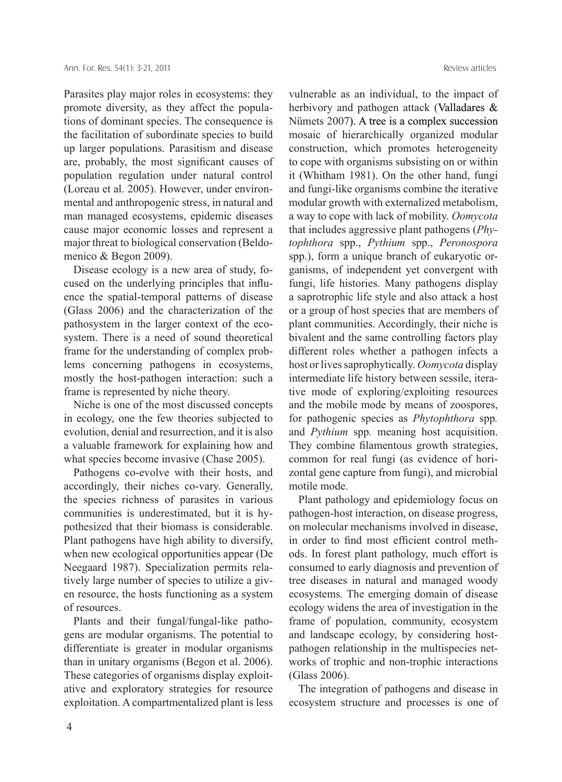Parasites play major roles in ecosystems: they promote diversity, as they affect the populations of dominant species. The consequence is the facilitation of subordinate species to build up larger populations. Parasitism and disease are, probably, the most significant causes of population regulation under natural control (Loreau et al. 2005). However, under environmental and anthropogenic stress, in natural and man managed ecosystems, epidemic diseases cause major economic losses and represent a major threat to biological conservation (Beldomenico & Begon 2009).

Disease ecology is a new area of study, focused on the underlying principles that influence the spatial-temporal patterns of disease (Glass 2006) and the characterization of the pathosystem in the larger context of the ecosystem. There is a need of sound theoretical frame for the understanding of complex problems concerning pathogens in ecosystems, mostly the host-pathogen interaction: such a frame is represented by niche theory.

Niche is one of the most discussed concepts in ecology, one the few theories subjected to evolution, denial and resurrection, and it is also a valuable framework for explaining how and what species become invasive (Chase 2005).

Pathogens co-evolve with their hosts, and accordingly, their niches co-vary. Generally, the species richness of parasites in various communities is underestimated, but it is hypothesized that their biomass is considerable. Plant pathogens have high ability to diversify, when new ecological opportunities appear (De Neegaard 1987). Specialization permits relatively large number of species to utilize a given resource, the hosts functioning as a system of resources.

Plants and their fungal/fungal-like pathogens are modular organisms. The potential to differentiate is greater in modular organisms than in unitary organisms (Begon et al. 2006). These categories of organisms display exploitative and exploratory strategies for resource exploitation. A compartmentalized plant is less vulnerable as an individual, to the impact of herbivory and pathogen attack (Valladares & Nümets 2007). A tree is a complex succession mosaic of hierarchically organized modular construction, which promotes heterogeneity to cope with organisms subsisting on or within it (Whitham 1981). On the other hand, fungi and fungi-like organisms combine the iterative modular growth with externalized metabolism, a way to cope with lack of mobility. *Oomycota* that includes aggressive plant pathogens (*Phytophthora* spp., *Pythium* spp., *Peronospora* spp.), form a unique branch of eukaryotic organisms, of independent yet convergent with fungi, life histories. Many pathogens display a saprotrophic life style and also attack a host or a group of host species that are members of plant communities. Accordingly, their niche is bivalent and the same controlling factors play different roles whether a pathogen infects a host or lives saprophytically. *Oomycota* display intermediate life history between sessile, iterative mode of exploring/exploiting resources and the mobile mode by means of zoospores, for pathogenic species as *Phytophthora* spp*.* and *Pythium* spp*.* meaning host acquisition. They combine filamentous growth strategies, common for real fungi (as evidence of horizontal gene capture from fungi), and microbial motile mode.

Plant pathology and epidemiology focus on pathogen-host interaction, on disease progress, on molecular mechanisms involved in disease, in order to find most efficient control methods. In forest plant pathology, much effort is consumed to early diagnosis and prevention of tree diseases in natural and managed woody ecosystems. The emerging domain of disease ecology widens the area of investigation in the frame of population, community, ecosystem and landscape ecology, by considering hostpathogen relationship in the multispecies networks of trophic and non-trophic interactions (Glass 2006).

The integration of pathogens and disease in ecosystem structure and processes is one of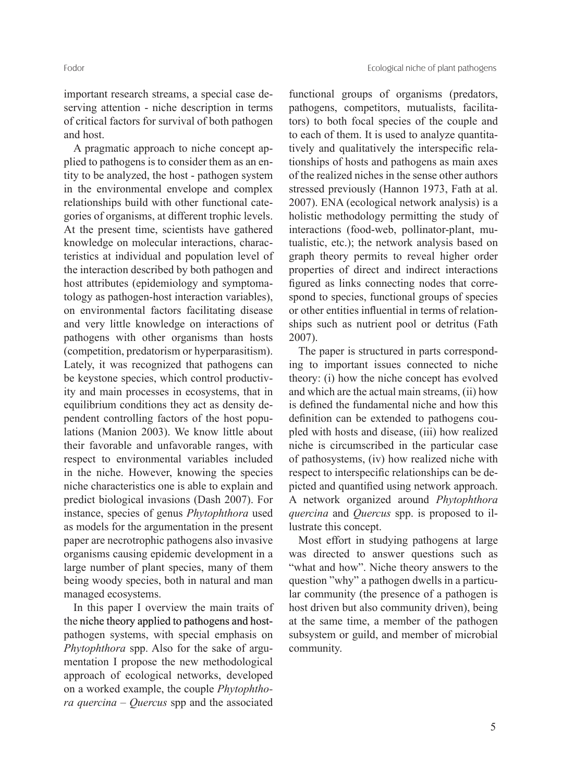Fodor Ecological niche of plant pathogens

important research streams, a special case deserving attention - niche description in terms of critical factors for survival of both pathogen and host.

A pragmatic approach to niche concept applied to pathogens is to consider them as an entity to be analyzed, the host - pathogen system in the environmental envelope and complex relationships build with other functional categories of organisms, at different trophic levels. At the present time, scientists have gathered knowledge on molecular interactions, characteristics at individual and population level of the interaction described by both pathogen and host attributes (epidemiology and symptomatology as pathogen-host interaction variables), on environmental factors facilitating disease and very little knowledge on interactions of pathogens with other organisms than hosts (competition, predatorism or hyperparasitism). Lately, it was recognized that pathogens can be keystone species, which control productivity and main processes in ecosystems, that in equilibrium conditions they act as density dependent controlling factors of the host populations (Manion 2003). We know little about their favorable and unfavorable ranges, with respect to environmental variables included in the niche. However, knowing the species niche characteristics one is able to explain and predict biological invasions (Dash 2007). For instance, species of genus *Phytophthora* used as models for the argumentation in the present paper are necrotrophic pathogens also invasive organisms causing epidemic development in a large number of plant species, many of them being woody species, both in natural and man managed ecosystems.

In this paper I overview the main traits of the niche theory applied to pathogens and hostpathogen systems, with special emphasis on *Phytophthora* spp. Also for the sake of argumentation I propose the new methodological approach of ecological networks, developed on a worked example, the couple *Phytophthora quercina – Quercus* spp and the associated

functional groups of organisms (predators, pathogens, competitors, mutualists, facilitators) to both focal species of the couple and to each of them. It is used to analyze quantitatively and qualitatively the interspecific relationships of hosts and pathogens as main axes of the realized niches in the sense other authors stressed previously (Hannon 1973, Fath at al. 2007). ENA (ecological network analysis) is a holistic methodology permitting the study of interactions (food-web, pollinator-plant, mutualistic, etc.); the network analysis based on graph theory permits to reveal higher order properties of direct and indirect interactions figured as links connecting nodes that correspond to species, functional groups of species or other entities influential in terms of relationships such as nutrient pool or detritus (Fath 2007).

The paper is structured in parts corresponding to important issues connected to niche theory: (i) how the niche concept has evolved and which are the actual main streams, (ii) how is defined the fundamental niche and how this definition can be extended to pathogens coupled with hosts and disease, (iii) how realized niche is circumscribed in the particular case of pathosystems, (iv) how realized niche with respect to interspecific relationships can be depicted and quantified using network approach. A network organized around *Phytophthora quercina* and *Quercus* spp. is proposed to illustrate this concept.

Most effort in studying pathogens at large was directed to answer questions such as "what and how". Niche theory answers to the question "why" a pathogen dwells in a particular community (the presence of a pathogen is host driven but also community driven), being at the same time, a member of the pathogen subsystem or guild, and member of microbial community.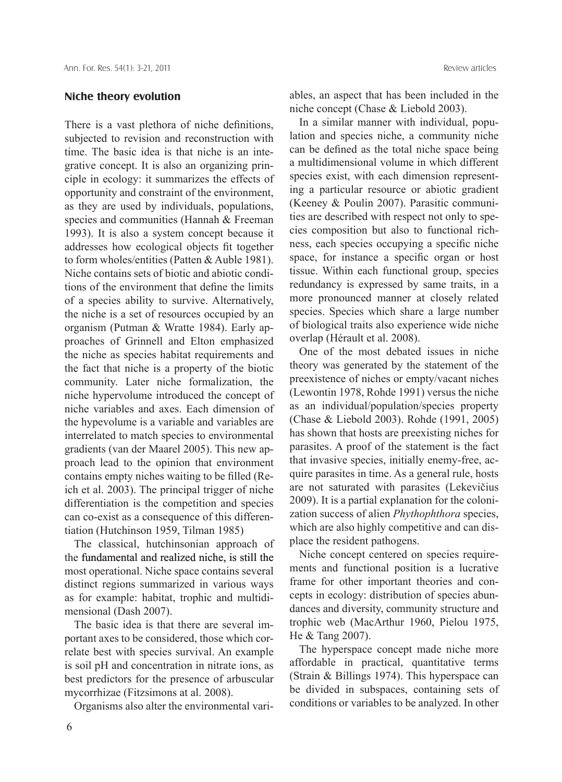#### **Niche theory evolution**

There is a vast plethora of niche definitions, subjected to revision and reconstruction with time. The basic idea is that niche is an integrative concept. It is also an organizing principle in ecology: it summarizes the effects of opportunity and constraint of the environment, as they are used by individuals, populations, species and communities (Hannah & Freeman 1993). It is also a system concept because it addresses how ecological objects fit together to form wholes/entities (Patten & Auble 1981). Niche contains sets of biotic and abiotic conditions of the environment that define the limits of a species ability to survive. Alternatively, the niche is a set of resources occupied by an organism (Putman & Wratte 1984). Early approaches of Grinnell and Elton emphasized the niche as species habitat requirements and the fact that niche is a property of the biotic community. Later niche formalization, the niche hypervolume introduced the concept of niche variables and axes. Each dimension of the hypevolume is a variable and variables are interrelated to match species to environmental gradients (van der Maarel 2005). This new approach lead to the opinion that environment contains empty niches waiting to be filled (Reich et al. 2003). The principal trigger of niche differentiation is the competition and species can co-exist as a consequence of this differentiation (Hutchinson 1959, Tilman 1985)

The classical, hutchinsonian approach of the fundamental and realized niche, is still the most operational. Niche space contains several distinct regions summarized in various ways as for example: habitat, trophic and multidimensional (Dash 2007).

The basic idea is that there are several important axes to be considered, those which correlate best with species survival. An example is soil pH and concentration in nitrate ions, as best predictors for the presence of arbuscular mycorrhizae (Fitzsimons at al. 2008).

Organisms also alter the environmental vari-

ables, an aspect that has been included in the niche concept (Chase & Liebold 2003).

In a similar manner with individual, population and species niche, a community niche can be defined as the total niche space being a multidimensional volume in which different species exist, with each dimension representing a particular resource or abiotic gradient (Keeney & Poulin 2007). Parasitic communities are described with respect not only to species composition but also to functional richness, each species occupying a specific niche space, for instance a specific organ or host tissue. Within each functional group, species redundancy is expressed by same traits, in a more pronounced manner at closely related species. Species which share a large number of biological traits also experience wide niche overlap (Hérault et al. 2008).

One of the most debated issues in niche theory was generated by the statement of the preexistence of niches or empty/vacant niches (Lewontin 1978, Rohde 1991) versus the niche as an individual/population/species property (Chase & Liebold 2003). Rohde (1991, 2005) has shown that hosts are preexisting niches for parasites. A proof of the statement is the fact that invasive species, initially enemy-free, acquire parasites in time. As a general rule, hosts are not saturated with parasites (Lekevičius 2009). It is a partial explanation for the colonization success of alien *Phythophthora* species, which are also highly competitive and can displace the resident pathogens.

Niche concept centered on species requirements and functional position is a lucrative frame for other important theories and concepts in ecology: distribution of species abundances and diversity, community structure and trophic web (MacArthur 1960, Pielou 1975, He & Tang 2007).

The hyperspace concept made niche more affordable in practical, quantitative terms (Strain & Billings 1974). This hyperspace can be divided in subspaces, containing sets of conditions or variables to be analyzed. In other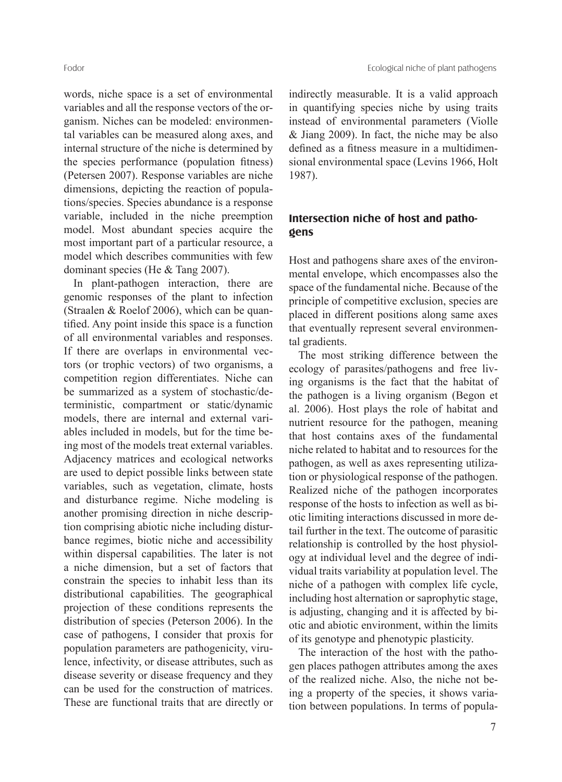words, niche space is a set of environmental variables and all the response vectors of the organism. Niches can be modeled: environmental variables can be measured along axes, and internal structure of the niche is determined by the species performance (population fitness) (Petersen 2007). Response variables are niche dimensions, depicting the reaction of populations/species. Species abundance is a response variable, included in the niche preemption model. Most abundant species acquire the most important part of a particular resource, a model which describes communities with few dominant species (He & Tang 2007).

In plant-pathogen interaction, there are genomic responses of the plant to infection (Straalen & Roelof 2006), which can be quantified. Any point inside this space is a function of all environmental variables and responses. If there are overlaps in environmental vectors (or trophic vectors) of two organisms, a competition region differentiates. Niche can be summarized as a system of stochastic/deterministic, compartment or static/dynamic models, there are internal and external variables included in models, but for the time being most of the models treat external variables. Adjacency matrices and ecological networks are used to depict possible links between state variables, such as vegetation, climate, hosts and disturbance regime. Niche modeling is another promising direction in niche description comprising abiotic niche including disturbance regimes, biotic niche and accessibility within dispersal capabilities. The later is not a niche dimension, but a set of factors that constrain the species to inhabit less than its distributional capabilities. The geographical projection of these conditions represents the distribution of species (Peterson 2006). In the case of pathogens, I consider that proxis for population parameters are pathogenicity, virulence, infectivity, or disease attributes, such as disease severity or disease frequency and they can be used for the construction of matrices. These are functional traits that are directly or

indirectly measurable. It is a valid approach in quantifying species niche by using traits instead of environmental parameters (Violle & Jiang 2009). In fact, the niche may be also defined as a fitness measure in a multidimensional environmental space (Levins 1966, Holt 1987).

## **Intersection niche of host and pathogens**

Host and pathogens share axes of the environmental envelope, which encompasses also the space of the fundamental niche. Because of the principle of competitive exclusion, species are placed in different positions along same axes that eventually represent several environmental gradients.

The most striking difference between the ecology of parasites/pathogens and free living organisms is the fact that the habitat of the pathogen is a living organism (Begon et al. 2006). Host plays the role of habitat and nutrient resource for the pathogen, meaning that host contains axes of the fundamental niche related to habitat and to resources for the pathogen, as well as axes representing utilization or physiological response of the pathogen. Realized niche of the pathogen incorporates response of the hosts to infection as well as biotic limiting interactions discussed in more detail further in the text. The outcome of parasitic relationship is controlled by the host physiology at individual level and the degree of individual traits variability at population level. The niche of a pathogen with complex life cycle, including host alternation or saprophytic stage, is adjusting, changing and it is affected by biotic and abiotic environment, within the limits of its genotype and phenotypic plasticity.

The interaction of the host with the pathogen places pathogen attributes among the axes of the realized niche. Also, the niche not being a property of the species, it shows variation between populations. In terms of popula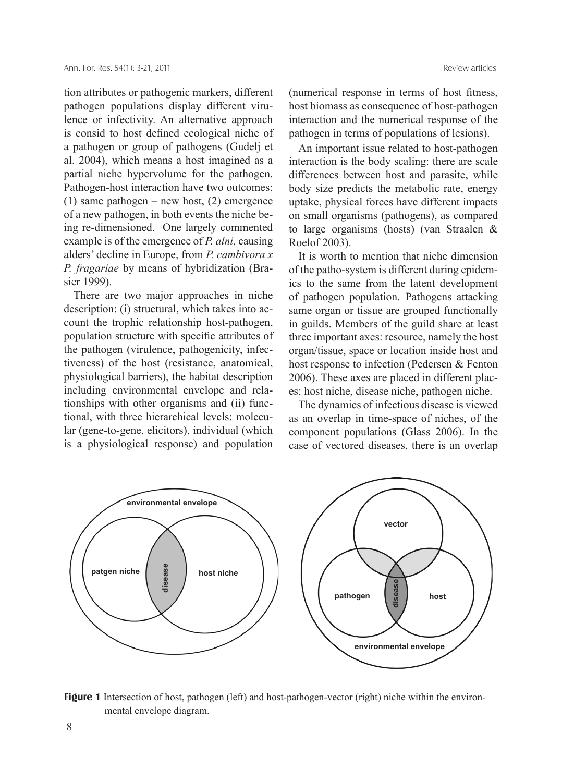tion attributes or pathogenic markers, different pathogen populations display different virulence or infectivity. An alternative approach is consid to host defined ecological niche of a pathogen or group of pathogens (Gudelj et al. 2004), which means a host imagined as a partial niche hypervolume for the pathogen. Pathogen-host interaction have two outcomes: (1) same pathogen – new host, (2) emergence of a new pathogen, in both events the niche being re-dimensioned. One largely commented example is of the emergence of *P. alni,* causing alders' decline in Europe, from *P. cambivora x P. fragariae* by means of hybridization (Brasier 1999).

There are two major approaches in niche description: (i) structural, which takes into account the trophic relationship host-pathogen, population structure with specific attributes of the pathogen (virulence, pathogenicity, infectiveness) of the host (resistance, anatomical, physiological barriers), the habitat description including environmental envelope and relationships with other organisms and (ii) functional, with three hierarchical levels: molecular (gene-to-gene, elicitors), individual (which is a physiological response) and population

(numerical response in terms of host fitness, host biomass as consequence of host-pathogen interaction and the numerical response of the pathogen in terms of populations of lesions).

An important issue related to host-pathogen interaction is the body scaling: there are scale differences between host and parasite, while body size predicts the metabolic rate, energy uptake, physical forces have different impacts on small organisms (pathogens), as compared to large organisms (hosts) (van Straalen & Roelof 2003).

It is worth to mention that niche dimension of the patho-system is different during epidemics to the same from the latent development of pathogen population. Pathogens attacking same organ or tissue are grouped functionally in guilds. Members of the guild share at least three important axes: resource, namely the host organ/tissue, space or location inside host and host response to infection (Pedersen & Fenton 2006). These axes are placed in different places: host niche, disease niche, pathogen niche.

The dynamics of infectious disease is viewed as an overlap in time-space of niches, of the component populations (Glass 2006). In the case of vectored diseases, there is an overlap



**Figure 1** Intersection of host, pathogen (left) and host-pathogen-vector (right) niche within the environmental envelope diagram.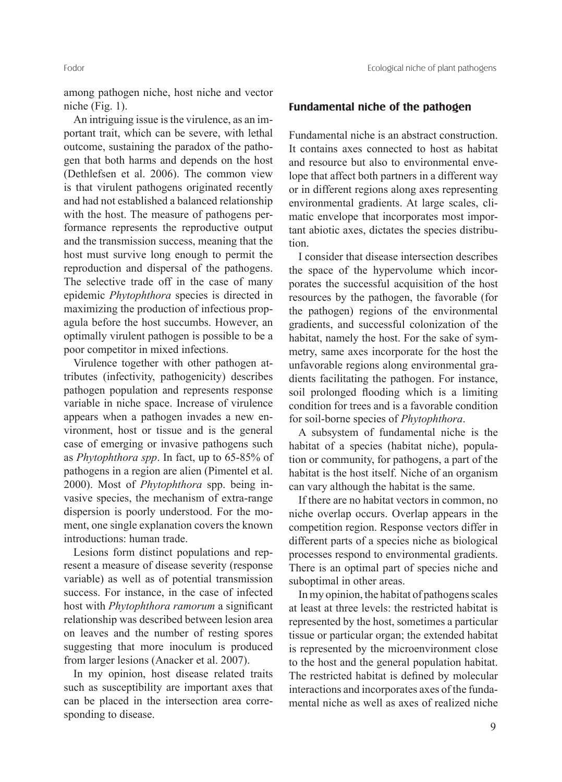among pathogen niche, host niche and vector niche (Fig. 1).

An intriguing issue is the virulence, as an important trait, which can be severe, with lethal outcome, sustaining the paradox of the pathogen that both harms and depends on the host (Dethlefsen et al. 2006). The common view is that virulent pathogens originated recently and had not established a balanced relationship with the host. The measure of pathogens performance represents the reproductive output and the transmission success, meaning that the host must survive long enough to permit the reproduction and dispersal of the pathogens. The selective trade off in the case of many epidemic *Phytophthora* species is directed in maximizing the production of infectious propagula before the host succumbs. However, an optimally virulent pathogen is possible to be a poor competitor in mixed infections.

Virulence together with other pathogen attributes (infectivity, pathogenicity) describes pathogen population and represents response variable in niche space. Increase of virulence appears when a pathogen invades a new environment, host or tissue and is the general case of emerging or invasive pathogens such as *Phytophthora spp*. In fact, up to 65-85% of pathogens in a region are alien (Pimentel et al. 2000). Most of *Phytophthora* spp. being invasive species, the mechanism of extra-range dispersion is poorly understood. For the moment, one single explanation covers the known introductions: human trade.

Lesions form distinct populations and represent a measure of disease severity (response variable) as well as of potential transmission success. For instance, in the case of infected host with *Phytophthora ramorum* a significant relationship was described between lesion area on leaves and the number of resting spores suggesting that more inoculum is produced from larger lesions (Anacker et al. 2007).

In my opinion, host disease related traits such as susceptibility are important axes that can be placed in the intersection area corresponding to disease.

## **Fundamental niche of the pathogen**

Fundamental niche is an abstract construction. It contains axes connected to host as habitat and resource but also to environmental envelope that affect both partners in a different way or in different regions along axes representing environmental gradients. At large scales, climatic envelope that incorporates most important abiotic axes, dictates the species distribution.

I consider that disease intersection describes the space of the hypervolume which incorporates the successful acquisition of the host resources by the pathogen, the favorable (for the pathogen) regions of the environmental gradients, and successful colonization of the habitat, namely the host. For the sake of symmetry, same axes incorporate for the host the unfavorable regions along environmental gradients facilitating the pathogen. For instance, soil prolonged flooding which is a limiting condition for trees and is a favorable condition for soil-borne species of *Phytophthora*.

A subsystem of fundamental niche is the habitat of a species (habitat niche), population or community, for pathogens, a part of the habitat is the host itself. Niche of an organism can vary although the habitat is the same.

If there are no habitat vectors in common, no niche overlap occurs. Overlap appears in the competition region. Response vectors differ in different parts of a species niche as biological processes respond to environmental gradients. There is an optimal part of species niche and suboptimal in other areas.

In my opinion, the habitat of pathogens scales at least at three levels: the restricted habitat is represented by the host, sometimes a particular tissue or particular organ; the extended habitat is represented by the microenvironment close to the host and the general population habitat. The restricted habitat is defined by molecular interactions and incorporates axes of the fundamental niche as well as axes of realized niche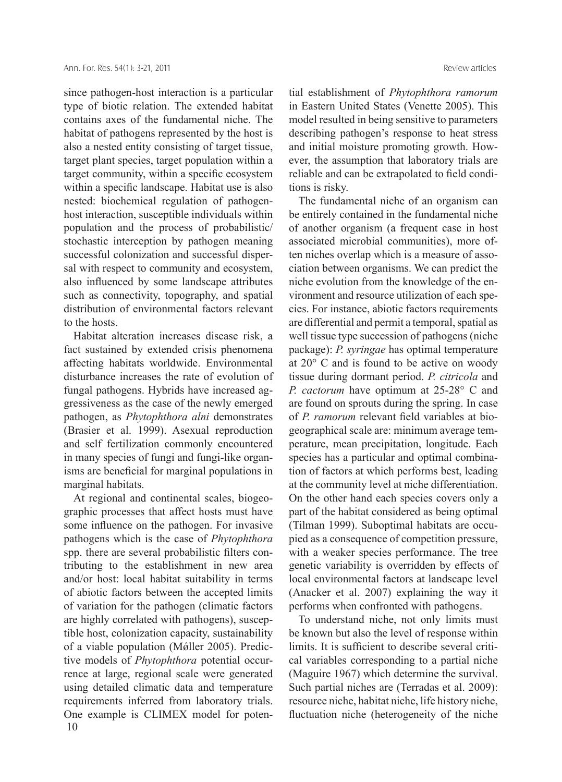since pathogen-host interaction is a particular type of biotic relation. The extended habitat contains axes of the fundamental niche. The habitat of pathogens represented by the host is also a nested entity consisting of target tissue, target plant species, target population within a target community, within a specific ecosystem within a specific landscape. Habitat use is also nested: biochemical regulation of pathogenhost interaction, susceptible individuals within population and the process of probabilistic/ stochastic interception by pathogen meaning successful colonization and successful dispersal with respect to community and ecosystem, also influenced by some landscape attributes such as connectivity, topography, and spatial distribution of environmental factors relevant to the hosts.

Habitat alteration increases disease risk, a fact sustained by extended crisis phenomena affecting habitats worldwide. Environmental disturbance increases the rate of evolution of fungal pathogens. Hybrids have increased aggressiveness as the case of the newly emerged pathogen, as *Phytophthora alni* demonstrates (Brasier et al. 1999). Asexual reproduction and self fertilization commonly encountered in many species of fungi and fungi-like organisms are beneficial for marginal populations in marginal habitats.

10 At regional and continental scales, biogeographic processes that affect hosts must have some influence on the pathogen. For invasive pathogens which is the case of *Phytophthora* spp. there are several probabilistic filters contributing to the establishment in new area and/or host: local habitat suitability in terms of abiotic factors between the accepted limits of variation for the pathogen (climatic factors are highly correlated with pathogens), susceptible host, colonization capacity, sustainability of a viable population (Mǿller 2005). Predictive models of *Phytophthora* potential occurrence at large, regional scale were generated using detailed climatic data and temperature requirements inferred from laboratory trials. One example is CLIMEX model for potential establishment of *Phytophthora ramorum* in Eastern United States (Venette 2005). This model resulted in being sensitive to parameters describing pathogen's response to heat stress and initial moisture promoting growth. However, the assumption that laboratory trials are reliable and can be extrapolated to field conditions is risky.

The fundamental niche of an organism can be entirely contained in the fundamental niche of another organism (a frequent case in host associated microbial communities), more often niches overlap which is a measure of association between organisms. We can predict the niche evolution from the knowledge of the environment and resource utilization of each species. For instance, abiotic factors requirements are differential and permit a temporal, spatial as well tissue type succession of pathogens (niche package): *P. syringae* has optimal temperature at 20° C and is found to be active on woody tissue during dormant period. *P. citricola* and *P. cactorum* have optimum at 25-28° C and are found on sprouts during the spring. In case of *P. ramorum* relevant field variables at biogeographical scale are: minimum average temperature, mean precipitation, longitude. Each species has a particular and optimal combination of factors at which performs best, leading at the community level at niche differentiation. On the other hand each species covers only a part of the habitat considered as being optimal (Tilman 1999). Suboptimal habitats are occupied as a consequence of competition pressure, with a weaker species performance. The tree genetic variability is overridden by effects of local environmental factors at landscape level (Anacker et al. 2007) explaining the way it performs when confronted with pathogens.

To understand niche, not only limits must be known but also the level of response within limits. It is sufficient to describe several critical variables corresponding to a partial niche (Maguire 1967) which determine the survival. Such partial niches are (Terradas et al. 2009): resource niche, habitat niche, life history niche, fluctuation niche (heterogeneity of the niche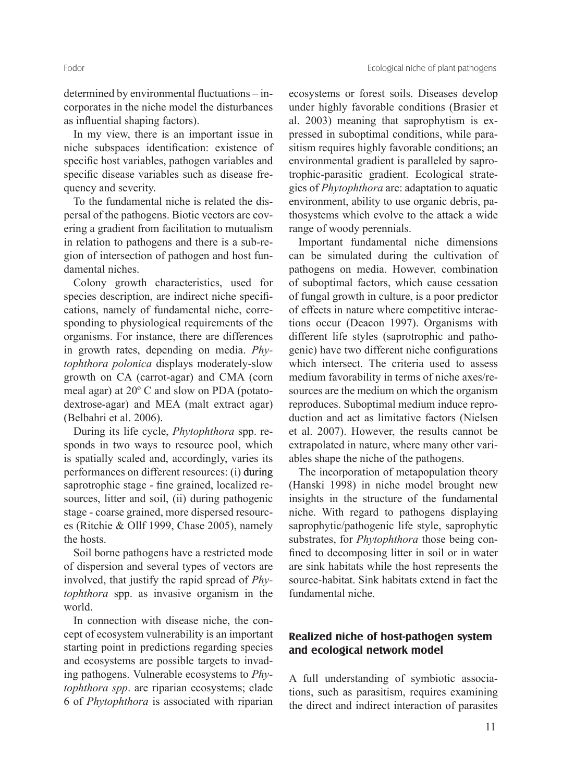determined by environmental fluctuations – incorporates in the niche model the disturbances as influential shaping factors).

In my view, there is an important issue in niche subspaces identification: existence of specific host variables, pathogen variables and specific disease variables such as disease frequency and severity.

To the fundamental niche is related the dispersal of the pathogens. Biotic vectors are covering a gradient from facilitation to mutualism in relation to pathogens and there is a sub-region of intersection of pathogen and host fundamental niches.

Colony growth characteristics, used for species description, are indirect niche specifications, namely of fundamental niche, corresponding to physiological requirements of the organisms. For instance, there are differences in growth rates, depending on media. *Phytophthora polonica* displays moderately-slow growth on CA (carrot-agar) and CMA (corn meal agar) at 20º C and slow on PDA (potatodextrose-agar) and MEA (malt extract agar) (Belbahri et al. 2006).

During its life cycle, *Phytophthora* spp. responds in two ways to resource pool, which is spatially scaled and, accordingly, varies its performances on different resources: (i) during saprotrophic stage - fine grained, localized resources, litter and soil, (ii) during pathogenic stage - coarse grained, more dispersed resources (Ritchie & Ollf 1999, Chase 2005), namely the hosts.

Soil borne pathogens have a restricted mode of dispersion and several types of vectors are involved, that justify the rapid spread of *Phytophthora* spp. as invasive organism in the world.

In connection with disease niche, the concept of ecosystem vulnerability is an important starting point in predictions regarding species and ecosystems are possible targets to invading pathogens. Vulnerable ecosystems to *Phytophthora spp*. are riparian ecosystems; clade 6 of *Phytophthora* is associated with riparian

ecosystems or forest soils. Diseases develop under highly favorable conditions (Brasier et al. 2003) meaning that saprophytism is expressed in suboptimal conditions, while parasitism requires highly favorable conditions; an environmental gradient is paralleled by saprotrophic-parasitic gradient. Ecological strategies of *Phytophthora* are: adaptation to aquatic environment, ability to use organic debris, pathosystems which evolve to the attack a wide range of woody perennials.

Important fundamental niche dimensions can be simulated during the cultivation of pathogens on media. However, combination of suboptimal factors, which cause cessation of fungal growth in culture, is a poor predictor of effects in nature where competitive interactions occur (Deacon 1997). Organisms with different life styles (saprotrophic and pathogenic) have two different niche configurations which intersect. The criteria used to assess medium favorability in terms of niche axes/resources are the medium on which the organism reproduces. Suboptimal medium induce reproduction and act as limitative factors (Nielsen et al. 2007). However, the results cannot be extrapolated in nature, where many other variables shape the niche of the pathogens.

The incorporation of metapopulation theory (Hanski 1998) in niche model brought new insights in the structure of the fundamental niche. With regard to pathogens displaying saprophytic/pathogenic life style, saprophytic substrates, for *Phytophthora* those being confined to decomposing litter in soil or in water are sink habitats while the host represents the source-habitat. Sink habitats extend in fact the fundamental niche.

## **Realized niche of host-pathogen system and ecological network model**

A full understanding of symbiotic associations, such as parasitism, requires examining the direct and indirect interaction of parasites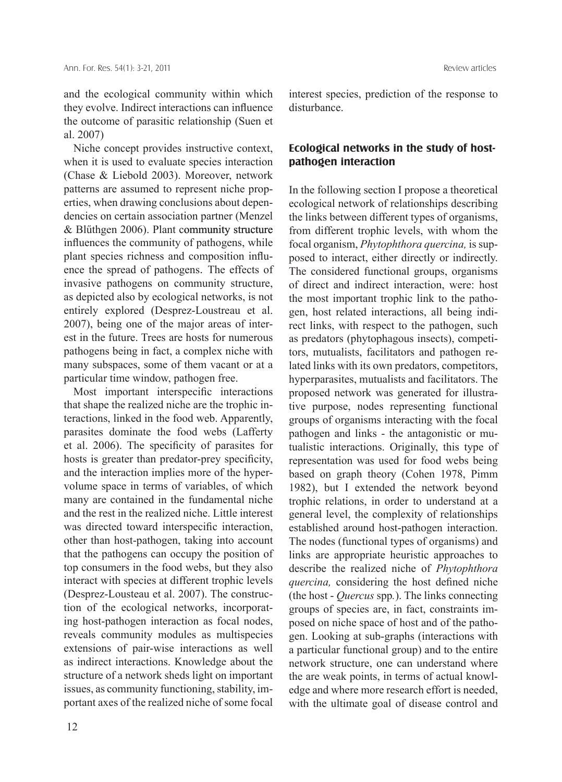and the ecological community within which they evolve. Indirect interactions can influence the outcome of parasitic relationship (Suen et al. 2007)

Niche concept provides instructive context, when it is used to evaluate species interaction (Chase & Liebold 2003). Moreover, network patterns are assumed to represent niche properties, when drawing conclusions about dependencies on certain association partner (Menzel & Blűthgen 2006). Plant community structure influences the community of pathogens, while plant species richness and composition influence the spread of pathogens. The effects of invasive pathogens on community structure, as depicted also by ecological networks, is not entirely explored (Desprez-Loustreau et al. 2007), being one of the major areas of interest in the future. Trees are hosts for numerous pathogens being in fact, a complex niche with many subspaces, some of them vacant or at a particular time window, pathogen free.

Most important interspecific interactions that shape the realized niche are the trophic interactions, linked in the food web. Apparently, parasites dominate the food webs (Lafferty et al. 2006). The specificity of parasites for hosts is greater than predator-prey specificity, and the interaction implies more of the hypervolume space in terms of variables, of which many are contained in the fundamental niche and the rest in the realized niche. Little interest was directed toward interspecific interaction, other than host-pathogen, taking into account that the pathogens can occupy the position of top consumers in the food webs, but they also interact with species at different trophic levels (Desprez-Lousteau et al. 2007). The construction of the ecological networks, incorporating host-pathogen interaction as focal nodes, reveals community modules as multispecies extensions of pair-wise interactions as well as indirect interactions. Knowledge about the structure of a network sheds light on important issues, as community functioning, stability, important axes of the realized niche of some focal

12

interest species, prediction of the response to disturbance.

# **Ecological networks in the study of hostpathogen interaction**

In the following section I propose a theoretical ecological network of relationships describing the links between different types of organisms, from different trophic levels, with whom the focal organism, *Phytophthora quercina,* is supposed to interact, either directly or indirectly. The considered functional groups, organisms of direct and indirect interaction, were: host the most important trophic link to the pathogen, host related interactions, all being indirect links, with respect to the pathogen, such as predators (phytophagous insects), competitors, mutualists, facilitators and pathogen related links with its own predators, competitors, hyperparasites, mutualists and facilitators. The proposed network was generated for illustrative purpose, nodes representing functional groups of organisms interacting with the focal pathogen and links - the antagonistic or mutualistic interactions. Originally, this type of representation was used for food webs being based on graph theory (Cohen 1978, Pimm 1982), but I extended the network beyond trophic relations, in order to understand at a general level, the complexity of relationships established around host-pathogen interaction. The nodes (functional types of organisms) and links are appropriate heuristic approaches to describe the realized niche of *Phytophthora quercina,* considering the host defined niche (the host - *Quercus* spp*.*). The links connecting groups of species are, in fact, constraints imposed on niche space of host and of the pathogen. Looking at sub-graphs (interactions with a particular functional group) and to the entire network structure, one can understand where the are weak points, in terms of actual knowledge and where more research effort is needed, with the ultimate goal of disease control and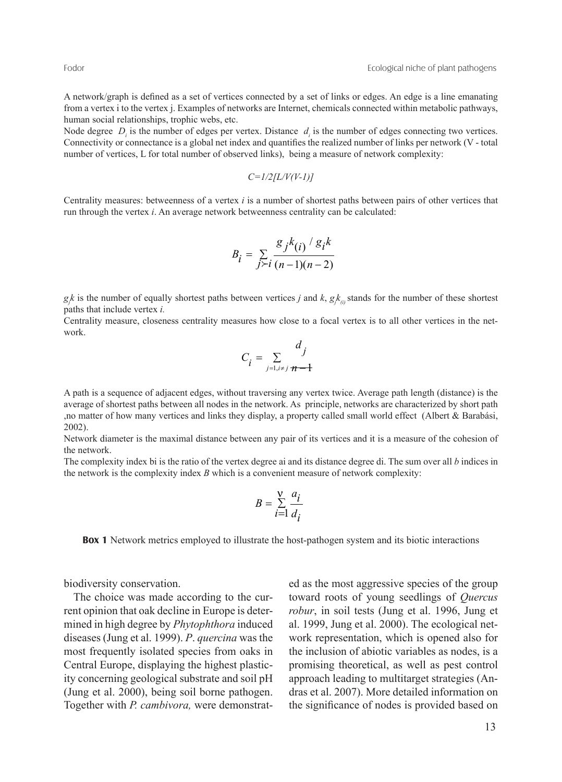A network/graph is defined as a set of vertices connected by a set of links or edges. An edge is a line emanating from a vertex i to the vertex j. Examples of networks are Internet, chemicals connected within metabolic pathways, human social relationships, trophic webs, etc.

Node degree *D<sub>i</sub>* is the number of edges per vertex. Distance *d<sub>i</sub>* is the number of edges connecting two vertices. Connectivity or connectance is a global net index and quantifies the realized number of links per network (V - total number of vertices, L for total number of observed links), being a measure of network complexity:

$$
C = 1/2[L/V(V-1)]
$$

Centrality measures: betweenness of a vertex *i* is a number of shortest paths between pairs of other vertices that run through the vertex *i*. An average network betweenness centrality can be calculated:

$$
B_i = \sum_{j \succ i} \frac{g_j k_{(i)} / g_i k}{(n-1)(n-2)}
$$

 $g_k$  is the number of equally shortest paths between vertices *j* and *k*,  $g_k$ <sub>(*i*)</sub> stands for the number of these shortest paths that include vertex *i.*

Centrality measure, closeness centrality measures how close to a focal vertex is to all other vertices in the network.

$$
C_i = \sum_{j=1, i \neq j} \frac{d_j}{n-1}
$$

A path is a sequence of adjacent edges, without traversing any vertex twice. Average path length (distance) is the average of shortest paths between all nodes in the network. As principle, networks are characterized by short path ,no matter of how many vertices and links they display, a property called small world effect (Albert & Barabási, 2002).

Network diameter is the maximal distance between any pair of its vertices and it is a measure of the cohesion of the network.

The complexity index bi is the ratio of the vertex degree ai and its distance degree di. The sum over all *b* indices in the network is the complexity index *B* which is a convenient measure of network complexity:

$$
B = \sum_{i=1}^{V} \frac{a_i}{d_i}
$$

**Box 1** Network metrics employed to illustrate the host-pathogen system and its biotic interactions

biodiversity conservation.

The choice was made according to the current opinion that oak decline in Europe is determined in high degree by *Phytophthora* induced diseases (Jung et al. 1999). *P*. *quercina* was the most frequently isolated species from oaks in Central Europe, displaying the highest plasticity concerning geological substrate and soil pH (Jung et al. 2000), being soil borne pathogen. Together with *P. cambivora,* were demonstrated as the most aggressive species of the group toward roots of young seedlings of *Quercus robur*, in soil tests (Jung et al. 1996, Jung et al. 1999, Jung et al. 2000). The ecological network representation, which is opened also for the inclusion of abiotic variables as nodes, is a promising theoretical, as well as pest control approach leading to multitarget strategies (Andras et al. 2007). More detailed information on the significance of nodes is provided based on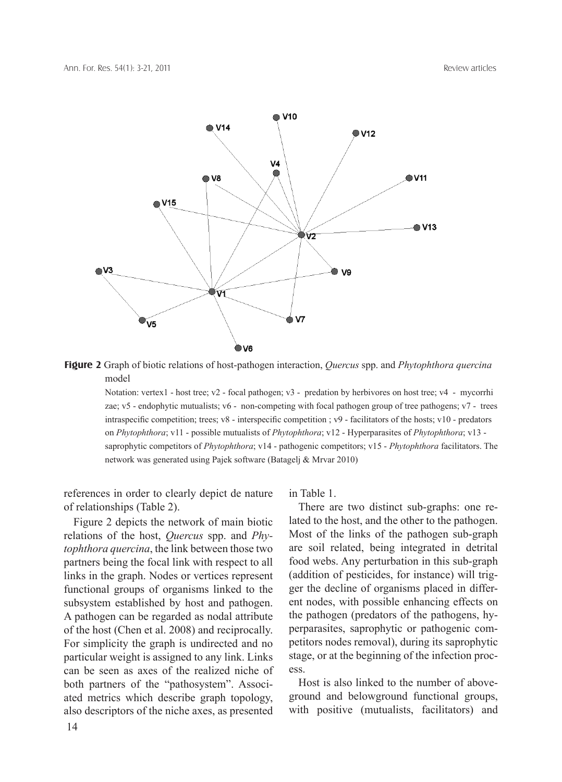

**Figure 2** Graph of biotic relations of host-pathogen interaction, *Quercus* spp. and *Phytophthora quercina*  model

Notation: vertex1 - host tree; v2 - focal pathogen; v3 - predation by herbivores on host tree; v4 - mycorrhi zae; v5 - endophytic mutualists; v6 - non-competing with focal pathogen group of tree pathogens; v7 - trees intraspecific competition; trees; v8 - interspecific competition ; v9 - facilitators of the hosts; v10 - predators on *Phytophthora*; v11 - possible mutualists of *Phytophthora*; v12 - Hyperparasites of *Phytophthora*; v13 saprophytic competitors of *Phytophthora*; v14 - pathogenic competitors; v15 - *Phytophthora* facilitators. The network was generated using Pajek software (Batagelj & Mrvar 2010)

references in order to clearly depict de nature of relationships (Table 2).

Figure 2 depicts the network of main biotic relations of the host, *Quercus* spp. and *Phytophthora quercina*, the link between those two partners being the focal link with respect to all links in the graph. Nodes or vertices represent functional groups of organisms linked to the subsystem established by host and pathogen. A pathogen can be regarded as nodal attribute of the host (Chen et al. 2008) and reciprocally. For simplicity the graph is undirected and no particular weight is assigned to any link. Links can be seen as axes of the realized niche of both partners of the "pathosystem". Associated metrics which describe graph topology, also descriptors of the niche axes, as presented

in Table 1.

There are two distinct sub-graphs: one related to the host, and the other to the pathogen. Most of the links of the pathogen sub-graph are soil related, being integrated in detrital food webs. Any perturbation in this sub-graph (addition of pesticides, for instance) will trigger the decline of organisms placed in different nodes, with possible enhancing effects on the pathogen (predators of the pathogens, hyperparasites, saprophytic or pathogenic competitors nodes removal), during its saprophytic stage, or at the beginning of the infection process.

Host is also linked to the number of aboveground and belowground functional groups, with positive (mutualists, facilitators) and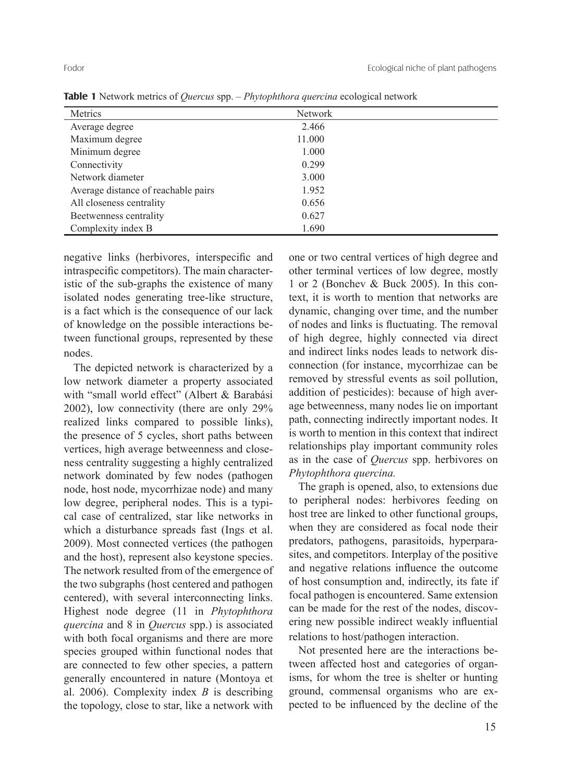| . .                                 |                |  |
|-------------------------------------|----------------|--|
| Metrics                             | <b>Network</b> |  |
| Average degree                      | 2.466          |  |
| Maximum degree                      | 11.000         |  |
| Minimum degree                      | 1.000          |  |
| Connectivity                        | 0.299          |  |
| Network diameter                    | 3.000          |  |
| Average distance of reachable pairs | 1.952          |  |
| All closeness centrality            | 0.656          |  |
| Beetwenness centrality              | 0.627          |  |
| Complexity index B                  | 1.690          |  |

**Table 1** Network metrics of *Quercus* spp. – *Phytophthora quercina* ecological network

negative links (herbivores, interspecific and intraspecific competitors). The main characteristic of the sub-graphs the existence of many isolated nodes generating tree-like structure, is a fact which is the consequence of our lack of knowledge on the possible interactions between functional groups, represented by these nodes.

The depicted network is characterized by a low network diameter a property associated with "small world effect" (Albert & Barabási 2002), low connectivity (there are only 29% realized links compared to possible links), the presence of 5 cycles, short paths between vertices, high average betweenness and closeness centrality suggesting a highly centralized network dominated by few nodes (pathogen node, host node, mycorrhizae node) and many low degree, peripheral nodes. This is a typical case of centralized, star like networks in which a disturbance spreads fast (Ings et al. 2009). Most connected vertices (the pathogen and the host), represent also keystone species. The network resulted from of the emergence of the two subgraphs (host centered and pathogen centered), with several interconnecting links. Highest node degree (11 in *Phytophthora quercina* and 8 in *Quercus* spp.) is associated with both focal organisms and there are more species grouped within functional nodes that are connected to few other species, a pattern generally encountered in nature (Montoya et al. 2006). Complexity index *B* is describing the topology, close to star, like a network with

one or two central vertices of high degree and other terminal vertices of low degree, mostly 1 or 2 (Bonchev & Buck 2005). In this context, it is worth to mention that networks are dynamic, changing over time, and the number of nodes and links is fluctuating. The removal of high degree, highly connected via direct and indirect links nodes leads to network disconnection (for instance, mycorrhizae can be removed by stressful events as soil pollution, addition of pesticides): because of high average betweenness, many nodes lie on important path, connecting indirectly important nodes. It is worth to mention in this context that indirect relationships play important community roles as in the case of *Quercus* spp. herbivores on *Phytophthora quercina.*

The graph is opened, also, to extensions due to peripheral nodes: herbivores feeding on host tree are linked to other functional groups, when they are considered as focal node their predators, pathogens, parasitoids, hyperparasites, and competitors. Interplay of the positive and negative relations influence the outcome of host consumption and, indirectly, its fate if focal pathogen is encountered. Same extension can be made for the rest of the nodes, discovering new possible indirect weakly influential relations to host/pathogen interaction.

Not presented here are the interactions between affected host and categories of organisms, for whom the tree is shelter or hunting ground, commensal organisms who are expected to be influenced by the decline of the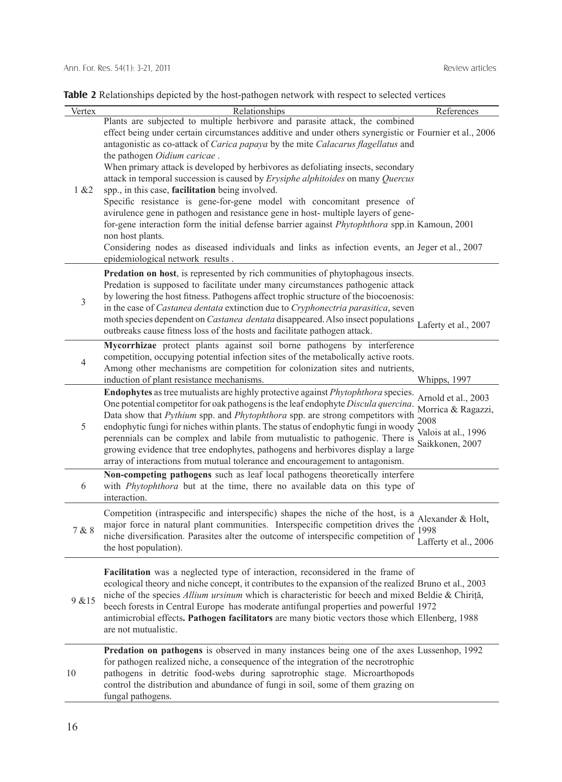| Vertex | Relationships                                                                                                                                                           | References            |
|--------|-------------------------------------------------------------------------------------------------------------------------------------------------------------------------|-----------------------|
|        | Plants are subjected to multiple herbivore and parasite attack, the combined                                                                                            |                       |
|        | effect being under certain circumstances additive and under others synergistic or Fournier et al., 2006                                                                 |                       |
|        | antagonistic as co-attack of Carica papaya by the mite Calacarus flagellatus and                                                                                        |                       |
|        | the pathogen <i>Oidium caricae</i> .                                                                                                                                    |                       |
|        | When primary attack is developed by herbivores as defoliating insects, secondary                                                                                        |                       |
|        | attack in temporal succession is caused by Erysiphe alphitoides on many Quercus                                                                                         |                       |
| 1 & 22 | spp., in this case, facilitation being involved.                                                                                                                        |                       |
|        | Specific resistance is gene-for-gene model with concomitant presence of                                                                                                 |                       |
|        | avirulence gene in pathogen and resistance gene in host-multiple layers of gene-                                                                                        |                       |
|        | for-gene interaction form the initial defense barrier against <i>Phytophthora</i> spp.in Kamoun, 2001<br>non host plants.                                               |                       |
|        | Considering nodes as diseased individuals and links as infection events, an Jeger et al., 2007                                                                          |                       |
|        | epidemiological network results.                                                                                                                                        |                       |
|        | Predation on host, is represented by rich communities of phytophagous insects.                                                                                          |                       |
|        | Predation is supposed to facilitate under many circumstances pathogenic attack                                                                                          |                       |
|        | by lowering the host fitness. Pathogens affect trophic structure of the biocoenosis:                                                                                    |                       |
| 3      | in the case of Castanea dentata extinction due to Cryphonectria parasitica, seven                                                                                       |                       |
|        | moth species dependent on Castanea dentata disappeared. Also insect populations                                                                                         | Laferty et al., 2007  |
|        | outbreaks cause fitness loss of the hosts and facilitate pathogen attack.                                                                                               |                       |
|        | Mycorrhizae protect plants against soil borne pathogens by interference                                                                                                 |                       |
| 4      | competition, occupying potential infection sites of the metabolically active roots.                                                                                     |                       |
|        | Among other mechanisms are competition for colonization sites and nutrients,                                                                                            |                       |
|        | induction of plant resistance mechanisms.                                                                                                                               | <b>Whipps</b> , 1997  |
|        | Endophytes as tree mutualists are highly protective against Phytophthora species.<br>One potential competitor for oak pathogens is the leaf endophyte Discula quercina. | Arnold et al., 2003   |
|        | Data show that Pythium spp. and Phytophthora spp. are strong competitors with                                                                                           | Morrica & Ragazzi,    |
| 5      | endophytic fungi for niches within plants. The status of endophytic fungi in woody                                                                                      | 2008                  |
|        | perennials can be complex and labile from mutualistic to pathogenic. There is                                                                                           | Valois at al., 1996   |
|        | growing evidence that tree endophytes, pathogens and herbivores display a large                                                                                         | Saikkonen, 2007       |
|        | array of interactions from mutual tolerance and encouragement to antagonism.                                                                                            |                       |
|        | Non-competing pathogens such as leaf local pathogens theoretically interfere                                                                                            |                       |
| 6      | with Phytophthora but at the time, there no available data on this type of                                                                                              |                       |
|        | interaction.                                                                                                                                                            |                       |
|        | Competition (intraspecific and interspecific) shapes the niche of the host, is a Alexander & Holt,                                                                      |                       |
| 7 & 8  | major force in natural plant communities. Interspecific competition drives the                                                                                          |                       |
|        | niche diversification. Parasites alter the outcome of interspecific competition of $\frac{1998}{100}$                                                                   | Lafferty et al., 2006 |
|        | the host population).                                                                                                                                                   |                       |
|        | Facilitation was a neglected type of interaction, reconsidered in the frame of                                                                                          |                       |
|        | ecological theory and niche concept, it contributes to the expansion of the realized Bruno et al., 2003                                                                 |                       |
|        | niche of the species <i>Allium ursinum</i> which is characteristic for beech and mixed Beldie & Chiriță,                                                                |                       |
| 9 & 15 | beech forests in Central Europe has moderate antifungal properties and powerful 1972                                                                                    |                       |
|        | antimicrobial effects. Pathogen facilitators are many biotic vectors those which Ellenberg, 1988                                                                        |                       |
|        | are not mutualistic.                                                                                                                                                    |                       |
|        | Predation on pathogens is observed in many instances being one of the axes Lussenhop, 1992                                                                              |                       |
|        | for pathogen realized niche, a consequence of the integration of the necrotrophic                                                                                       |                       |
| 10     | pathogens in detritic food-webs during saprotrophic stage. Microarthopods                                                                                               |                       |
|        | control the distribution and abundance of fungi in soil, some of them grazing on                                                                                        |                       |
|        | fungal pathogens.                                                                                                                                                       |                       |
|        |                                                                                                                                                                         |                       |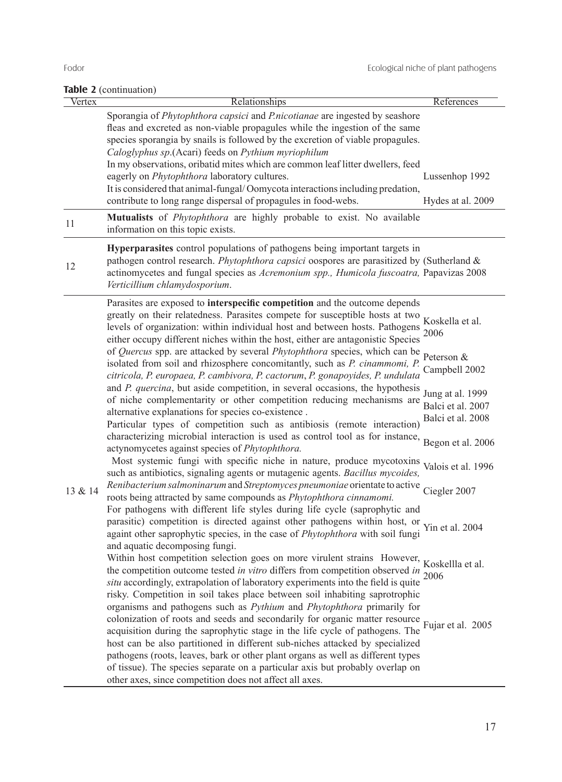# **Table 2** (continuation)

| Vertex  | Relationships                                                                                                                                                                                                                                                                                                                                                                                                                                                                                                                                                                                                                                                                                                                                                                                                                                                                                                                                                                                                                                                                                                                                                                                                                                                                                                                                                                                                                                                                                                                                                                                                                                                                                                                                                                                                                                                                                                                                                                                                                                                                                                                                                                                                                                                                                                                                                                                                                                                                                                                                 | References                                                                                                                                                                                               |
|---------|-----------------------------------------------------------------------------------------------------------------------------------------------------------------------------------------------------------------------------------------------------------------------------------------------------------------------------------------------------------------------------------------------------------------------------------------------------------------------------------------------------------------------------------------------------------------------------------------------------------------------------------------------------------------------------------------------------------------------------------------------------------------------------------------------------------------------------------------------------------------------------------------------------------------------------------------------------------------------------------------------------------------------------------------------------------------------------------------------------------------------------------------------------------------------------------------------------------------------------------------------------------------------------------------------------------------------------------------------------------------------------------------------------------------------------------------------------------------------------------------------------------------------------------------------------------------------------------------------------------------------------------------------------------------------------------------------------------------------------------------------------------------------------------------------------------------------------------------------------------------------------------------------------------------------------------------------------------------------------------------------------------------------------------------------------------------------------------------------------------------------------------------------------------------------------------------------------------------------------------------------------------------------------------------------------------------------------------------------------------------------------------------------------------------------------------------------------------------------------------------------------------------------------------------------|----------------------------------------------------------------------------------------------------------------------------------------------------------------------------------------------------------|
|         | Sporangia of Phytophthora capsici and P.nicotianae are ingested by seashore<br>fleas and excreted as non-viable propagules while the ingestion of the same<br>species sporangia by snails is followed by the excretion of viable propagules.<br>Caloglyphus sp.(Acari) feeds on Pythium myriophilum<br>In my observations, oribatid mites which are common leaf litter dwellers, feed<br>eagerly on <i>Phytophthora</i> laboratory cultures.<br>It is considered that animal-fungal/Oomycota interactions including predation,                                                                                                                                                                                                                                                                                                                                                                                                                                                                                                                                                                                                                                                                                                                                                                                                                                                                                                                                                                                                                                                                                                                                                                                                                                                                                                                                                                                                                                                                                                                                                                                                                                                                                                                                                                                                                                                                                                                                                                                                                | Lussenhop 1992                                                                                                                                                                                           |
| 11      | contribute to long range dispersal of propagules in food-webs.<br>Mutualists of <i>Phytophthora</i> are highly probable to exist. No available<br>information on this topic exists.                                                                                                                                                                                                                                                                                                                                                                                                                                                                                                                                                                                                                                                                                                                                                                                                                                                                                                                                                                                                                                                                                                                                                                                                                                                                                                                                                                                                                                                                                                                                                                                                                                                                                                                                                                                                                                                                                                                                                                                                                                                                                                                                                                                                                                                                                                                                                           | Hydes at al. 2009                                                                                                                                                                                        |
| 12      | Hyperparasites control populations of pathogens being important targets in<br>pathogen control research. <i>Phytophthora capsici</i> oospores are parasitized by (Sutherland &<br>actinomycetes and fungal species as Acremonium spp., Humicola fuscoatra, Papavizas 2008<br>Verticillium chlamydosporium.                                                                                                                                                                                                                                                                                                                                                                                                                                                                                                                                                                                                                                                                                                                                                                                                                                                                                                                                                                                                                                                                                                                                                                                                                                                                                                                                                                                                                                                                                                                                                                                                                                                                                                                                                                                                                                                                                                                                                                                                                                                                                                                                                                                                                                    |                                                                                                                                                                                                          |
| 13 & 14 | Parasites are exposed to interspecific competition and the outcome depends<br>greatly on their relatedness. Parasites compete for susceptible hosts at two<br>levels of organization: within individual host and between hosts. Pathogens<br>either occupy different niches within the host, either are antagonistic Species<br>of Quercus spp. are attacked by several Phytophthora species, which can be<br>isolated from soil and rhizosphere concomitantly, such as P. cinammomi, P.<br>citricola, P. europaea, P. cambivora, P. cactorum, P. gonapoyides, P. undulata<br>and P. quercina, but aside competition, in several occasions, the hypothesis<br>of niche complementarity or other competition reducing mechanisms are<br>alternative explanations for species co-existence.<br>Particular types of competition such as antibiosis (remote interaction)<br>characterizing microbial interaction is used as control tool as for instance,<br>actynomycetes against species of Phytophthora.<br>Most systemic fungi with specific niche in nature, produce mycotoxins<br>such as antibiotics, signaling agents or mutagenic agents. Bacillus mycoides,<br>Renibacterium salmoninarum and Streptomyces pneumoniae orientate to active Ciegler 2007<br>roots being attracted by same compounds as Phytophthora cinnamomi.<br>For pathogens with different life styles during life cycle (saprophytic and<br>parasitic) competition is directed against other pathogens within host, or Yin et al. 2004<br>againt other saprophytic species, in the case of Phytophthora with soil fungi<br>and aquatic decomposing fungi.<br>Within host competition selection goes on more virulent strains However,<br>the competition outcome tested <i>in vitro</i> differs from competition observed <i>in</i> 2006<br>situ accordingly, extrapolation of laboratory experiments into the field is quite<br>risky. Competition in soil takes place between soil inhabiting saprotrophic<br>organisms and pathogens such as Pythium and Phytophthora primarily for<br>colonization of roots and seeds and secondarily for organic matter resource<br>acquisition during the saprophytic stage in the life cycle of pathogens. The<br>host can be also partitioned in different sub-niches attacked by specialized<br>pathogens (roots, leaves, bark or other plant organs as well as different types<br>of tissue). The species separate on a particular axis but probably overlap on<br>other axes, since competition does not affect all axes. | Koskella et al.<br>2006<br>Peterson &<br>Campbell 2002<br>Jung at al. 1999<br>Balci et al. 2007<br>Balci et al. 2008<br>Begon et al. 2006<br>Valois et al. 1996<br>Koskellla et al.<br>Fujar et al. 2005 |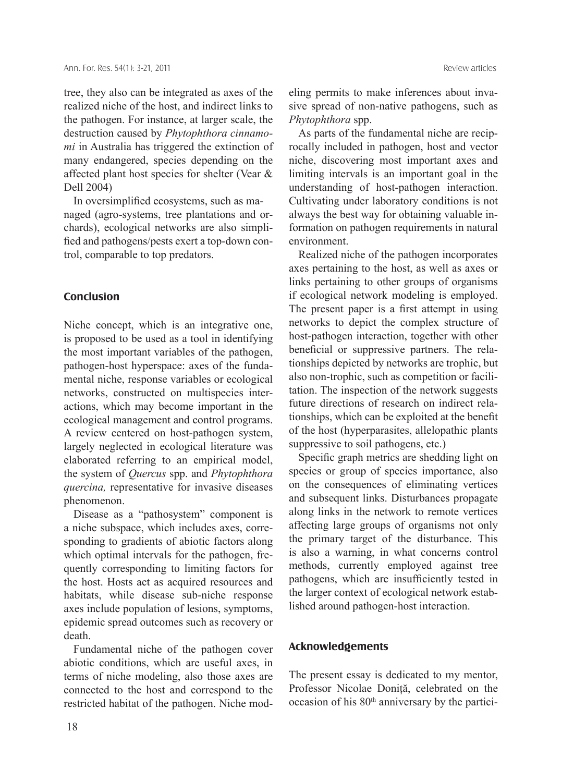tree, they also can be integrated as axes of the realized niche of the host, and indirect links to the pathogen. For instance, at larger scale, the destruction caused by *Phytophthora cinnamomi* in Australia has triggered the extinction of many endangered, species depending on the affected plant host species for shelter (Vear & Dell 2004)

In oversimplified ecosystems, such as managed (agro-systems, tree plantations and orchards), ecological networks are also simplified and pathogens/pests exert a top-down control, comparable to top predators.

#### **Conclusion**

Niche concept, which is an integrative one, is proposed to be used as a tool in identifying the most important variables of the pathogen, pathogen-host hyperspace: axes of the fundamental niche, response variables or ecological networks, constructed on multispecies interactions, which may become important in the ecological management and control programs. A review centered on host-pathogen system, largely neglected in ecological literature was elaborated referring to an empirical model, the system of *Quercus* spp. and *Phytophthora quercina,* representative for invasive diseases phenomenon.

Disease as a "pathosystem" component is a niche subspace, which includes axes, corresponding to gradients of abiotic factors along which optimal intervals for the pathogen, frequently corresponding to limiting factors for the host. Hosts act as acquired resources and habitats, while disease sub-niche response axes include population of lesions, symptoms, epidemic spread outcomes such as recovery or death.

Fundamental niche of the pathogen cover abiotic conditions, which are useful axes, in terms of niche modeling, also those axes are connected to the host and correspond to the restricted habitat of the pathogen. Niche modeling permits to make inferences about invasive spread of non-native pathogens, such as *Phytophthora* spp.

As parts of the fundamental niche are reciprocally included in pathogen, host and vector niche, discovering most important axes and limiting intervals is an important goal in the understanding of host-pathogen interaction. Cultivating under laboratory conditions is not always the best way for obtaining valuable information on pathogen requirements in natural environment.

Realized niche of the pathogen incorporates axes pertaining to the host, as well as axes or links pertaining to other groups of organisms if ecological network modeling is employed. The present paper is a first attempt in using networks to depict the complex structure of host-pathogen interaction, together with other beneficial or suppressive partners. The relationships depicted by networks are trophic, but also non-trophic, such as competition or facilitation. The inspection of the network suggests future directions of research on indirect relationships, which can be exploited at the benefit of the host (hyperparasites, allelopathic plants suppressive to soil pathogens, etc.)

Specific graph metrics are shedding light on species or group of species importance, also on the consequences of eliminating vertices and subsequent links. Disturbances propagate along links in the network to remote vertices affecting large groups of organisms not only the primary target of the disturbance. This is also a warning, in what concerns control methods, currently employed against tree pathogens, which are insufficiently tested in the larger context of ecological network established around pathogen-host interaction.

#### **Acknowledgements**

The present essay is dedicated to my mentor, Professor Nicolae Doniţă, celebrated on the occasion of his 80<sup>th</sup> anniversary by the partici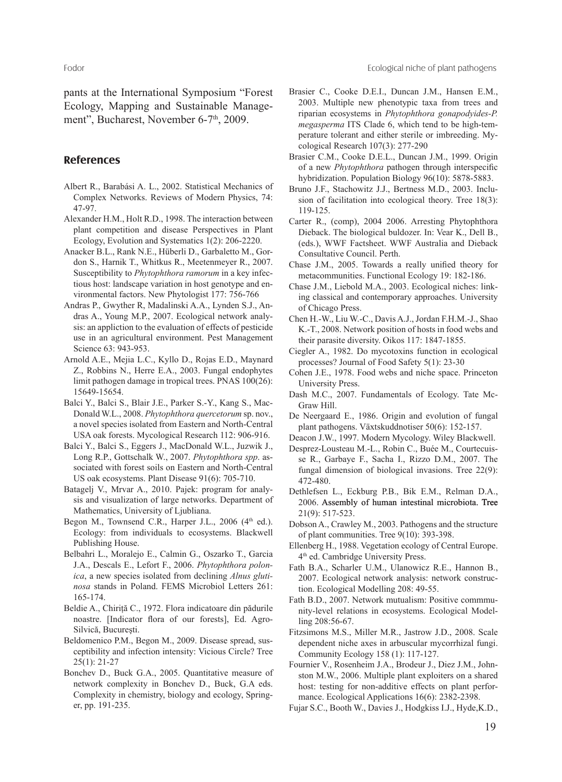pants at the International Symposium "Forest Ecology, Mapping and Sustainable Management", Bucharest, November 6-7<sup>th</sup>, 2009.

## **References**

- Albert R., Barabási A. L., 2002. Statistical Mechanics of Complex Networks. Reviews of Modern Physics, 74: 47-97.
- Alexander H.M., Holt R.D., 1998. The interaction between plant competition and disease Perspectives in Plant Ecology, Evolution and Systematics 1(2): 206-2220.
- Anacker B.L., Rank N.E., Hüberli D., Garbaletto M., Gordon S., Harnik T., Whitkus R., Meetenmeyer R., 2007. Susceptibility to *Phytophthora ramorum* in a key infectious host: landscape variation in host genotype and environmental factors. New Phytologist 177: 756-766
- Andras P., Gwyther R, Madalinski A.A., Lynden S.J., Andras A., Young M.P., 2007. Ecological network analysis: an appliction to the evaluation of effects of pesticide use in an agricultural environment. Pest Management Science 63: 943-953.
- Arnold A.E., Mejia L.C., Kyllo D., Rojas E.D., Maynard Z., Robbins N., Herre E.A., 2003. Fungal endophytes limit pathogen damage in tropical trees. PNAS 100(26): 15649-15654.
- Balci Y., Balci S., Blair J.E., Parker S.-Y., Kang S., Mac-Donald W.L., 2008. *Phytophthora quercetorum* sp. nov., a novel species isolated from Eastern and North-Central USA oak forests. Mycological Research 112: 906-916.
- Balci Y., Balci S., Eggers J., MacDonald W.L., Juzwik J., Long R.P., Gottschalk W., 2007. *Phytophthora spp*. associated with forest soils on Eastern and North-Central US oak ecosystems. Plant Disease 91(6): 705-710.
- Batagelj V., Mrvar A., 2010. Pajek: program for analysis and visualization of large networks. Department of Mathematics, University of Ljubliana.
- Begon M., Townsend C.R., Harper J.L., 2006  $(4<sup>th</sup>$  ed.). Ecology: from individuals to ecosystems. Blackwell Publishing House.
- Belbahri L., Moralejo E., Calmin G., Oszarko T., Garcia J.A., Descals E., Lefort F., 2006. *Phytophthora polonica*, a new species isolated from declining *Alnus glutinosa* stands in Poland. FEMS Microbiol Letters 261: 165-174.
- Beldie A., Chiriţă C., 1972. Flora indicatoare din pădurile noastre. [Indicator flora of our forests], Ed. Agro-Silvică, Bucureşti.
- Beldomenico P.M., Begon M., 2009. Disease spread, susceptibility and infection intensity: Vicious Circle? Tree 25(1): 21-27
- Bonchev D., Buck G.A., 2005. Quantitative measure of network complexity in Bonchev D., Buck, G.A eds. Complexity in chemistry, biology and ecology, Springer, pp. 191-235.
- Brasier C., Cooke D.E.I., Duncan J.M., Hansen E.M., 2003. Multiple new phenotypic taxa from trees and riparian ecosystems in *Phytophthora gonapodyides-P. megasperma* ITS Clade 6, which tend to be high-temperature tolerant and either sterile or imbreeding. Mycological Research 107(3): 277-290
- Brasier C.M., Cooke D.E.L., Duncan J.M., 1999. Origin of a new *Phytophthora* pathogen through interspecific hybridization. Population Biology 96(10): 5878-5883.
- Bruno J.F., Stachowitz J.J., Bertness M.D., 2003. Inclusion of facilitation into ecological theory. Tree 18(3): 119-125.
- Carter R., (comp), 2004 2006. Arresting Phytophthora Dieback. The biological buldozer. In: Vear K., Dell B., (eds.), WWF Factsheet. WWF Australia and Dieback Consultative Council. Perth.
- Chase J.M., 2005. Towards a really unified theory for metacommunities. Functional Ecology 19: 182-186.
- Chase J.M., Liebold M.A., 2003. Ecological niches: linking classical and contemporary approaches. University of Chicago Press.
- Chen H.-W., Liu W.-C., Davis A.J., Jordan F.H.M.-J., Shao K.-T., 2008. Network position of hosts in food webs and their parasite diversity. Oikos 117: 1847-1855.
- Ciegler A., 1982. Do mycotoxins function in ecological processes? Journal of Food Safety 5(1): 23-30
- Cohen J.E., 1978. Food webs and niche space. Princeton University Press.
- Dash M.C., 2007. Fundamentals of Ecology. Tate Mc-Graw Hill.
- De Neergaard E., 1986. Origin and evolution of fungal plant pathogens. Växtskuddnotiser 50(6): 152-157.
- Deacon J.W., 1997. Modern Mycology. Wiley Blackwell.
- Desprez-Lousteau M.-L., Robin C., Buée M., Courtecuisse R., Garbaye F., Sacha I., Rizzo D.M., 2007. The fungal dimension of biological invasions. Tree 22(9): 472-480.
- Dethlefsen L., Eckburg P.B., Bik E.M., Relman D.A., 2006. Assembly of human intestinal microbiota. Tree 21(9): 517-523.
- Dobson A., Crawley M., 2003. Pathogens and the structure of plant communities. Tree 9(10): 393-398.
- Ellenberg H., 1988. Vegetation ecology of Central Europe. 4th ed. Cambridge University Press.
- Fath B.A., Scharler U.M., Ulanowicz R.E., Hannon B., 2007. Ecological network analysis: network construction. Ecological Modelling 208: 49-55.
- Fath B.D., 2007. Network mutualism: Positive commmunity-level relations in ecosystems. Ecological Modelling 208:56-67.
- Fitzsimons M.S., Miller M.R., Jastrow J.D., 2008. Scale dependent niche axes in arbuscular mycorrhizal fungi. Community Ecology 158 (1): 117-127.
- Fournier V., Rosenheim J.A., Brodeur J., Diez J.M., Johnston M.W., 2006. Multiple plant exploiters on a shared host: testing for non-additive effects on plant performance. Ecological Applications 16(6): 2382-2398.
- Fujar S.C., Booth W., Davies J., Hodgkiss I.J., Hyde,K.D.,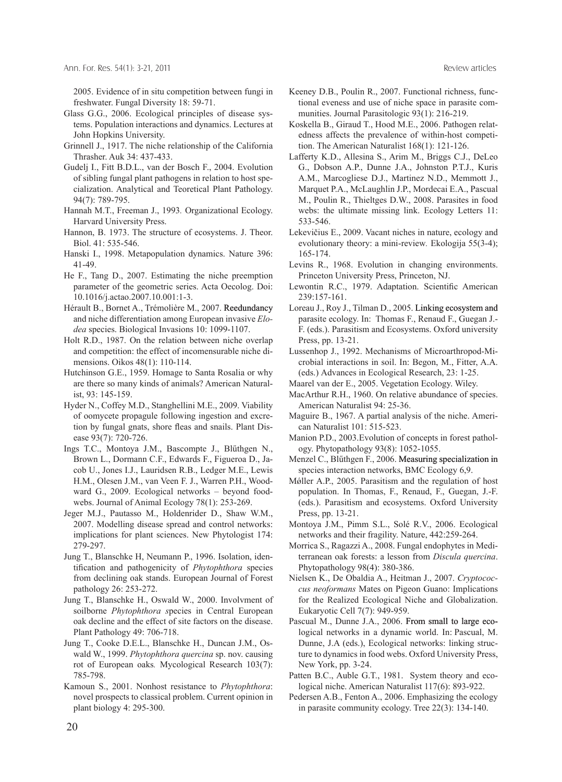2005. Evidence of in situ competition between fungi in freshwater. Fungal Diversity 18: 59-71.

- Glass G.G., 2006. Ecological principles of disease systems. Population interactions and dynamics. Lectures at John Hopkins University.
- Grinnell J., 1917. The niche relationship of the California Thrasher. Auk 34: 437-433.
- Gudelj I., Fitt B.D.L., van der Bosch F., 2004. Evolution of sibling fungal plant pathogens in relation to host specialization. Analytical and Teoretical Plant Pathology. 94(7): 789-795.
- Hannah M.T., Freeman J., 1993*.* Organizational Ecology. Harvard University Press.
- Hannon, B. 1973. The structure of ecosystems. J. Theor. Biol. 41: 535-546.
- Hanski I., 1998. Metapopulation dynamics. Nature 396: 41-49.
- He F., Tang D., 2007. Estimating the niche preemption parameter of the geometric series. Acta Oecolog. Doi: 10.1016/j.actao.2007.10.001:1-3.
- Hérault B., Bornet A., Trémolière M., 2007. Reedundancy and niche differentiation among European invasive *Elodea* species. Biological Invasions 10: 1099-1107.
- Holt R.D., 1987. On the relation between niche overlap and competition: the effect of incomensurable niche dimensions. Oikos 48(1): 110-114.
- Hutchinson G.E., 1959. Homage to Santa Rosalia or why are there so many kinds of animals? American Naturalist, 93: 145-159.
- Hyder N., Coffey M.D., Stanghellini M.E., 2009. Viability of oomycete propagule following ingestion and excretion by fungal gnats, shore fleas and snails. Plant Disease 93(7): 720-726.
- Ings T.C., Montoya J.M., Bascompte J., Blűthgen N., Brown L., Dormann C.F., Edwards F., Figueroa D., Jacob U., Jones I.J., Lauridsen R.B., Ledger M.E., Lewis H.M., Olesen J.M., van Veen F. J., Warren P.H., Woodward G., 2009. Ecological networks – beyond foodwebs. Journal of Animal Ecology 78(1): 253-269.
- Jeger M.J., Pautasso M., Holdenrider D., Shaw W.M., 2007. Modelling disease spread and control networks: implications for plant sciences. New Phytologist 174: 279-297.
- Jung T., Blanschke H, Neumann P., 1996. Isolation, identification and pathogenicity of *Phytophthora* species from declining oak stands. European Journal of Forest pathology 26: 253-272.
- Jung T., Blanschke H., Oswald W., 2000. Involvment of soilborne *Phytophthora s*pecies in Central European oak decline and the effect of site factors on the disease. Plant Pathology 49: 706-718.
- Jung T., Cooke D.E.L., Blanschke H., Duncan J.M., Oswald W., 1999. *Phytophthora quercina* sp. nov. causing rot of European oaks*.* Mycological Research 103(7): 785-798.
- Kamoun S., 2001. Nonhost resistance to *Phytophthora*: novel prospects to classical problem. Current opinion in plant biology 4: 295-300.
- Keeney D.B., Poulin R., 2007. Functional richness, functional eveness and use of niche space in parasite communities. Journal Parasitologic 93(1): 216-219.
- Koskella B., Giraud T., Hood M.E., 2006. Pathogen relatedness affects the prevalence of within-host competition. The American Naturalist 168(1): 121-126.
- Lafferty K.D., Allesina S., Arim M., Briggs C.J., DeLeo G., Dobson A.P., Dunne J.A., Johnston P.T.J., Kuris A.M., Marcogliese D.J., Martinez N.D., Memmott J., Marquet P.A., McLaughlin J.P., Mordecai E.A., Pascual M., Poulin R., Thieltges D.W., 2008. Parasites in food webs: the ultimate missing link. Ecology Letters 11: 533-546.
- Lekevičius E., 2009. Vacant niches in nature, ecology and evolutionary theory: a mini-review*.* Ekologija 55(3-4); 165-174.
- Levins R., 1968. Evolution in changing environments. Princeton University Press, Princeton, NJ.
- Lewontin R.C., 1979. Adaptation. Scientific American 239:157-161.
- Loreau J., Roy J., Tilman D., 2005. Linking ecosystem and parasite ecology. In: Thomas F., Renaud F., Guegan J.- F. (eds.). Parasitism and Ecosystems. Oxford university Press, pp. 13-21.
- Lussenhop J., 1992. Mechanisms of Microarthropod-Microbial interactions in soil. In: Begon, M., Fitter, A.A. (eds.) Advances in Ecological Research, 23: 1-25.
- Maarel van der E., 2005. Vegetation Ecology. Wiley.
- MacArthur R.H., 1960. On relative abundance of species. American Naturalist 94: 25-36.
- Maguire B., 1967. A partial analysis of the niche. American Naturalist 101: 515-523.
- Manion P.D., 2003.Evolution of concepts in forest pathology. Phytopathology 93(8): 1052-1055.
- Menzel C., Blűthgen F., 2006. Measuring specialization in species interaction networks, BMC Ecology 6,9.
- Mǿller A.P., 2005. Parasitism and the regulation of host population. In Thomas, F., Renaud, F., Guegan, J.-F. (eds.). Parasitism and ecosystems. Oxford University Press, pp. 13-21.
- Montoya J.M., Pimm S.L., Solé R.V., 2006. Ecological networks and their fragility. Nature, 442:259-264.
- Morrica S., Ragazzi A., 2008. Fungal endophytes in Mediterranean oak forests: a lesson from *Discula quercina*. Phytopathology 98(4): 380-386.
- Nielsen K., De Obaldia A., Heitman J., 2007. *Cryptococcus neoformans* Mates on Pigeon Guano: Implications for the Realized Ecological Niche and Globalization. Eukaryotic Cell 7(7): 949-959.
- Pascual M., Dunne J.A., 2006. From small to large ecological networks in a dynamic world. In: Pascual, M. Dunne, J.A (eds.), Ecological networks: linking structure to dynamics in food webs. Oxford University Press, New York, pp. 3-24.
- Patten B.C., Auble G.T., 1981. System theory and ecological niche. American Naturalist 117(6): 893-922.
- Pedersen A.B., Fenton A., 2006. Emphasizing the ecology in parasite community ecology. Tree 22(3): 134-140.